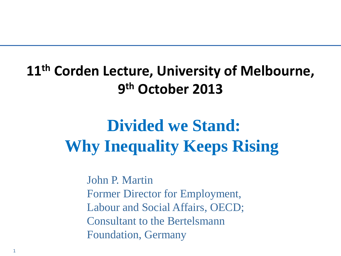### **11th Corden Lecture, University of Melbourne, 9th October 2013**

# **Divided we Stand: Why Inequality Keeps Rising**

John P. Martin Former Director for Employment, Labour and Social Affairs, OECD; Consultant to the Bertelsmann Foundation, Germany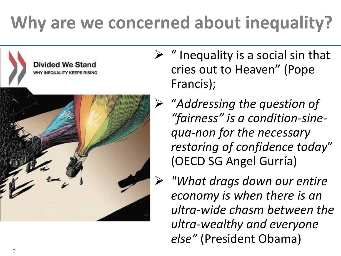# **Why are we concerned about inequality?**



**Divided We Stand WHY INEQUALITY KEEPS RISING** 

- $\triangleright$  " Inequality is a social sin that cries out to Heaven" (Pope Francis);
- "*Addressing the question of "fairness" is a condition-sinequa-non for the necessary restoring of confidence today*" (OECD SG Angel Gurría)
	- *"What drags down our entire economy is when there is an ultra-wide chasm between the ultra-wealthy and everyone else"* (President Obama)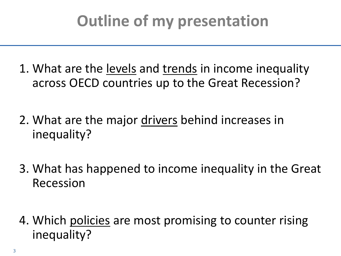# **Outline of my presentation**

1. What are the levels and trends in income inequality across OECD countries up to the Great Recession?

- 2. What are the major drivers behind increases in inequality?
- 3. What has happened to income inequality in the Great Recession
- 4. Which policies are most promising to counter rising inequality?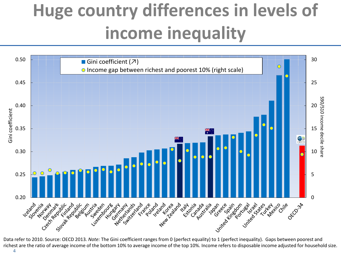# **Huge country differences in levels of income inequality**



richest are the ratio of average income of the bottom 10% to average income of the top 10%. Income refers to disposable income adjusted for household size.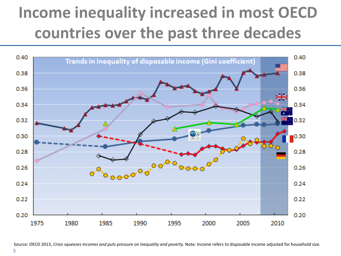# **Income inequality increased in most OECD countries over the past three decades**



Source: OECD 2013, *Crisis squeezes incomes and puts pressure on inequality and poverty*. Note: Income refers to disposable income adjusted for household size.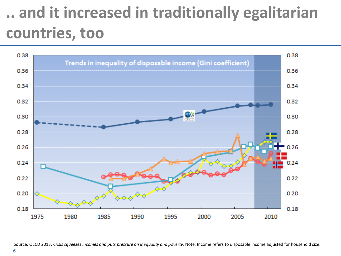# **.. and it increased in traditionally egalitarian countries, too**



Source: OECD 2013, *Crisis squeezes incomes and puts pressure on inequality and poverty*. Note: Income refers to disposable income adjusted for household size.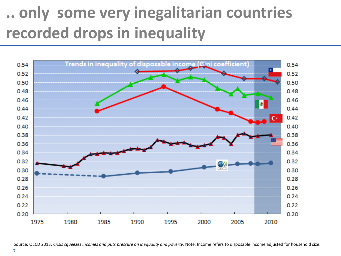# **.. only some very inegalitarian countries recorded drops in inequality**



Source: OECD 2013, *Crisis squeezes incomes and puts pressure on inequality and poverty*. Note: Income refers to disposable income adjusted for household size.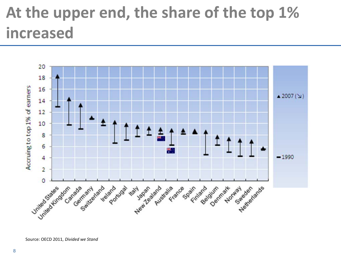# **At the upper end, the share of the top 1% increased**



Source: OECD 2011, *Divided we Stand*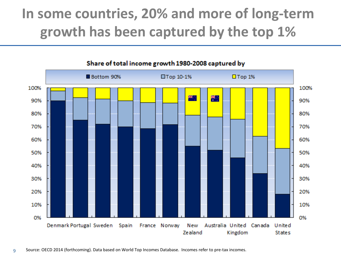### **In some countries, 20% and more of long-term growth has been captured by the top 1%**



#### Share of total income growth 1980-2008 captured by

9 Source: OECD 2014 (forthcoming). Data based on World Top Incomes Database. Incomes refer to pre-tax incomes.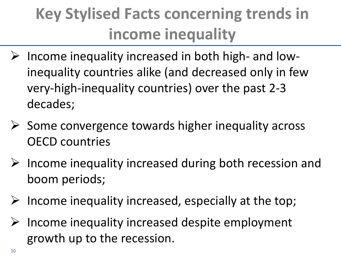# **Key Stylised Facts concerning trends in income inequality**

- $\triangleright$  Income inequality increased in both high- and lowinequality countries alike (and decreased only in few very-high-inequality countries) over the past 2-3 decades;
- $\triangleright$  Some convergence towards higher inequality across OECD countries
- $\triangleright$  Income inequality increased during both recession and boom periods;
- $\triangleright$  Income inequality increased, especially at the top;
- $\triangleright$  Income inequality increased despite employment growth up to the recession.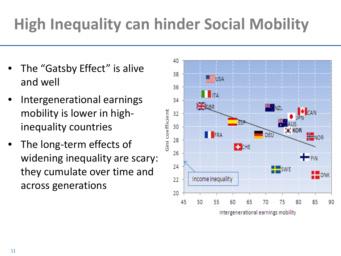# **High Inequality can hinder Social Mobility**

- The "Gatsby Effect" is alive and well
- Intergenerational earnings mobility is lower in highinequality countries
- The long-term effects of widening inequality are scary: they cumulate over time and across generations

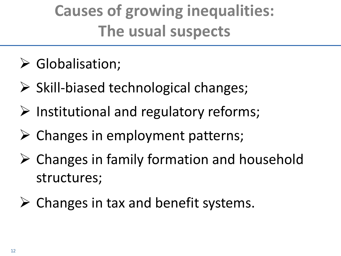# **Causes of growing inequalities: The usual suspects**

- Globalisation;
- $\triangleright$  Skill-biased technological changes;
- $\triangleright$  Institutional and regulatory reforms;
- $\triangleright$  Changes in employment patterns;
- $\triangleright$  Changes in family formation and household structures;
- $\triangleright$  Changes in tax and benefit systems.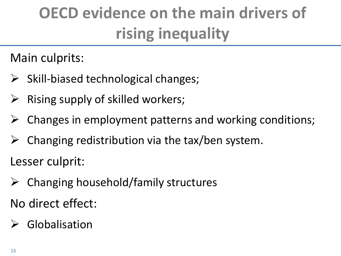# **OECD evidence on the main drivers of rising inequality**

Main culprits:

- $\triangleright$  Skill-biased technological changes;
- $\triangleright$  Rising supply of skilled workers;
- $\triangleright$  Changes in employment patterns and working conditions;
- $\triangleright$  Changing redistribution via the tax/ben system.

Lesser culprit:

 $\triangleright$  Changing household/family structures

No direct effect:

### $\triangleright$  Globalisation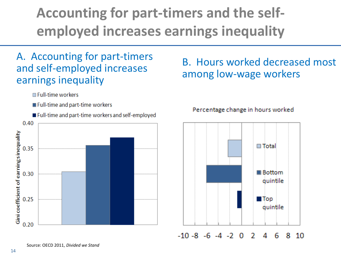## **Accounting for part-timers and the selfemployed increases earnings inequality**

### A. Accounting for part-timers and self-employed increases earnings inequality

□ Full-time workers

- Full-time and part-time workers
- Full-time and part-time workers and self-employed



### B. Hours worked decreased most among low-wage workers

#### Percentage change in hours worked

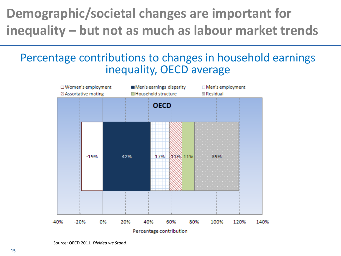### **Demographic/societal changes are important for inequality – but not as much as labour market trends**

### Percentage contributions to changes in household earnings inequality, OECD average



Source: OECD 2011, *Divided we Stand.*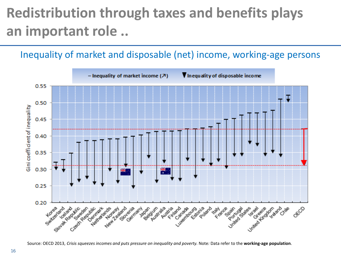## **Redistribution through taxes and benefits plays an important role ..**

### Inequality of market and disposable (net) income, working-age persons



Source: OECD 2013, *Crisis squeezes incomes and puts pressure on inequality and poverty.* Note*:* Data refer to the **working-age population**.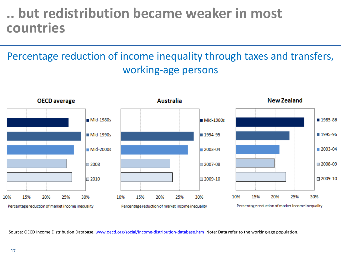### **.. but redistribution became weaker in most countries**

### Percentage reduction of income inequality through taxes and transfers, working-age persons



Source: OECD Income Distribution Database, [www.oecd.org/social/income-distribution-database.htm](http://www.oecd.org/social/income-distribution-database.htm) Note*:* Data refer to the working-age population.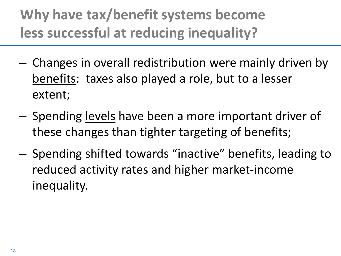## **Why have tax/benefit systems become less successful at reducing inequality?**

- Changes in overall redistribution were mainly driven by benefits: taxes also played a role, but to a lesser extent;
- Spending levels have been a more important driver of these changes than tighter targeting of benefits;
- Spending shifted towards "inactive" benefits, leading to reduced activity rates and higher market-income inequality.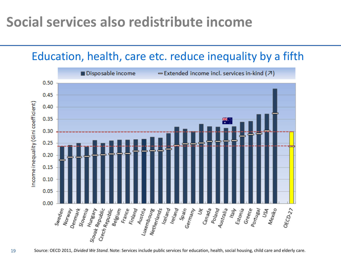### **Social services also redistribute income**

### Education, health, care etc. reduce inequality by a fifth



Source: OECD 2011, *Divided We Stand.* Note: Services include public services for education, health, social housing, child care and elderly care.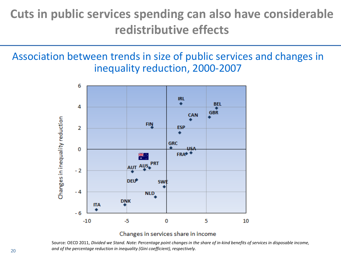### **Cuts in public services spending can also have considerable redistributive effects**

Association between trends in size of public services and changes in inequality reduction, 2000-2007



#### Changes in services share in income

Source: OECD 2011, *Divided we Stand. Note: Percentage point changes in the share of in-kind benefits of services in disposable income, and of the percentage reduction in inequality (Gini coefficient), respectively.*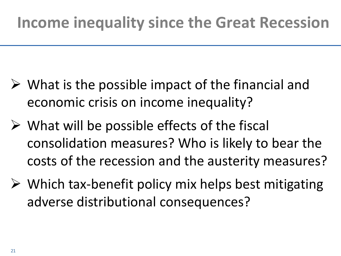- $\triangleright$  What is the possible impact of the financial and economic crisis on income inequality?
- $\triangleright$  What will be possible effects of the fiscal consolidation measures? Who is likely to bear the costs of the recession and the austerity measures?
- $\triangleright$  Which tax-benefit policy mix helps best mitigating adverse distributional consequences?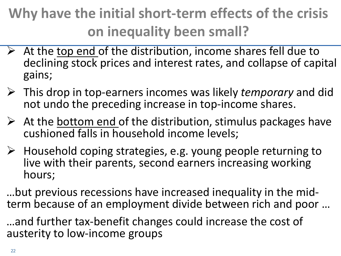## **Why have the initial short-term effects of the crisis on inequality been small?**

- $\triangleright$  At the top end of the distribution, income shares fell due to declining stock prices and interest rates, and collapse of capital gains;
- This drop in top-earners incomes was likely *temporary* and did not undo the preceding increase in top-income shares.
- $\triangleright$  At the bottom end of the distribution, stimulus packages have cushioned falls in household income levels;
- $\triangleright$  Household coping strategies, e.g. young people returning to live with their parents, second earners increasing working hours;

…but previous recessions have increased inequality in the mid- term because of an employment divide between rich and poor …

…and further tax-benefit changes could increase the cost of austerity to low-income groups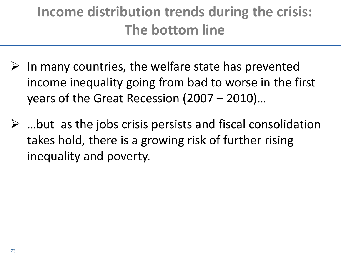## **Income distribution trends during the crisis: The bottom line**

- $\triangleright$  In many countries, the welfare state has prevented income inequality going from bad to worse in the first years of the Great Recession (2007 – 2010)…
- $\triangleright$  ...but as the jobs crisis persists and fiscal consolidation takes hold, there is a growing risk of further rising inequality and poverty.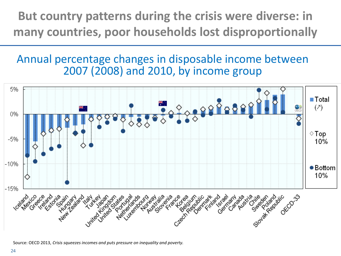**But country patterns during the crisis were diverse: in many countries, poor households lost disproportionally**

Annual percentage changes in disposable income between 2007 (2008) and 2010, by income group



Source: OECD 2013, *Crisis squeezes incomes and puts pressure on inequality and poverty.*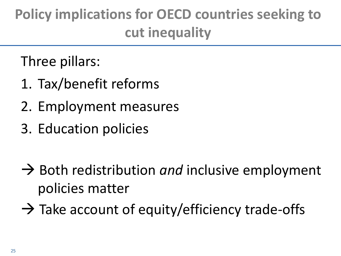## **Policy implications for OECD countries seeking to cut inequality**

Three pillars:

- 1. Tax/benefit reforms
- 2. Employment measures
- 3. Education policies
- → Both redistribution *and* inclusive employment policies matter
- $\rightarrow$  Take account of equity/efficiency trade-offs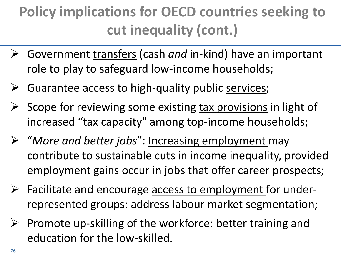## **Policy implications for OECD countries seeking to cut inequality (cont.)**

- Government transfers (cash *and* in-kind) have an important role to play to safeguard low-income households;
- $\triangleright$  Guarantee access to high-quality public services;
- $\triangleright$  Scope for reviewing some existing tax provisions in light of increased "tax capacity" among top-income households;
- "*More and better jobs*": Increasing employment may contribute to sustainable cuts in income inequality, provided employment gains occur in jobs that offer career prospects;
- $\triangleright$  Facilitate and encourage access to employment for underrepresented groups: address labour market segmentation;
- $\triangleright$  Promote up-skilling of the workforce: better training and education for the low-skilled.